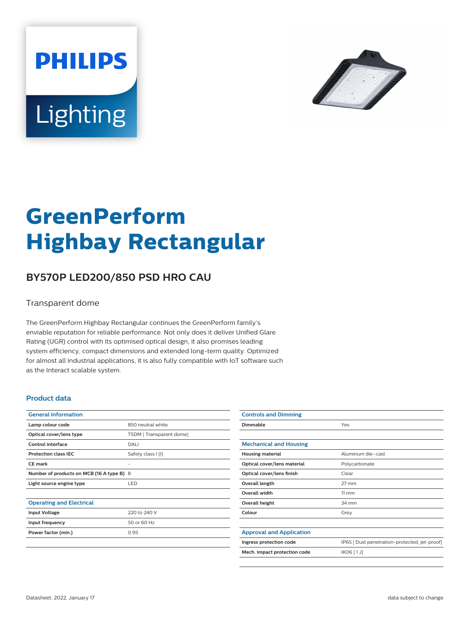



# **GreenPerform Highbay Rectangular**

## **BY570P LED200/850 PSD HRO CAU**

#### Transparent dome

The GreenPerform Highbay Rectangular continues the GreenPerform family's enviable reputation for reliable performance. Not only does it deliver Unified Glare Rating (UGR) control with its optimised optical design, it also promises leading system efficiency, compact dimensions and extended long-term quality. Optimized for almost all industrial applications, it is also fully compatible with IoT software such as the Interact scalable system.

#### **Product data**

| <b>General Information</b>                |                         |
|-------------------------------------------|-------------------------|
| Lamp colour code                          | 850 neutral white       |
| Optical cover/lens type                   | TSDM [Transparent dome] |
| Control interface                         | DALI                    |
| <b>Protection class IEC</b>               | Safety class I (I)      |
| <b>CE</b> mark                            |                         |
| Number of products on MCB (16 A type B) 8 |                         |
| Light source engine type                  | <b>LED</b>              |
|                                           |                         |
| <b>Operating and Electrical</b>           |                         |
| <b>Input Voltage</b>                      | 220 to 240 V            |
| Input frequency                           | 50 or 60 Hz             |
| Power factor (min.)                       | 0.95                    |
|                                           |                         |

| <b>Controls and Dimming</b>     |                                               |
|---------------------------------|-----------------------------------------------|
| Dimmable                        | Yes                                           |
|                                 |                                               |
| <b>Mechanical and Housing</b>   |                                               |
| <b>Housing material</b>         | Aluminum die-cast                             |
| Optical cover/lens material     | Polycarbonate                                 |
| Optical cover/lens finish       | Clear                                         |
| Overall length                  | $27$ mm                                       |
| <b>Overall width</b>            | $11 \, \mathrm{mm}$                           |
| Overall height                  | 34 mm                                         |
| Colour                          | Grey                                          |
|                                 |                                               |
| <b>Approval and Application</b> |                                               |
| Ingress protection code         | IP65   Dust penetration-protected, jet-proof] |
| Mech. impact protection code    | IK06 [1J]                                     |
|                                 |                                               |